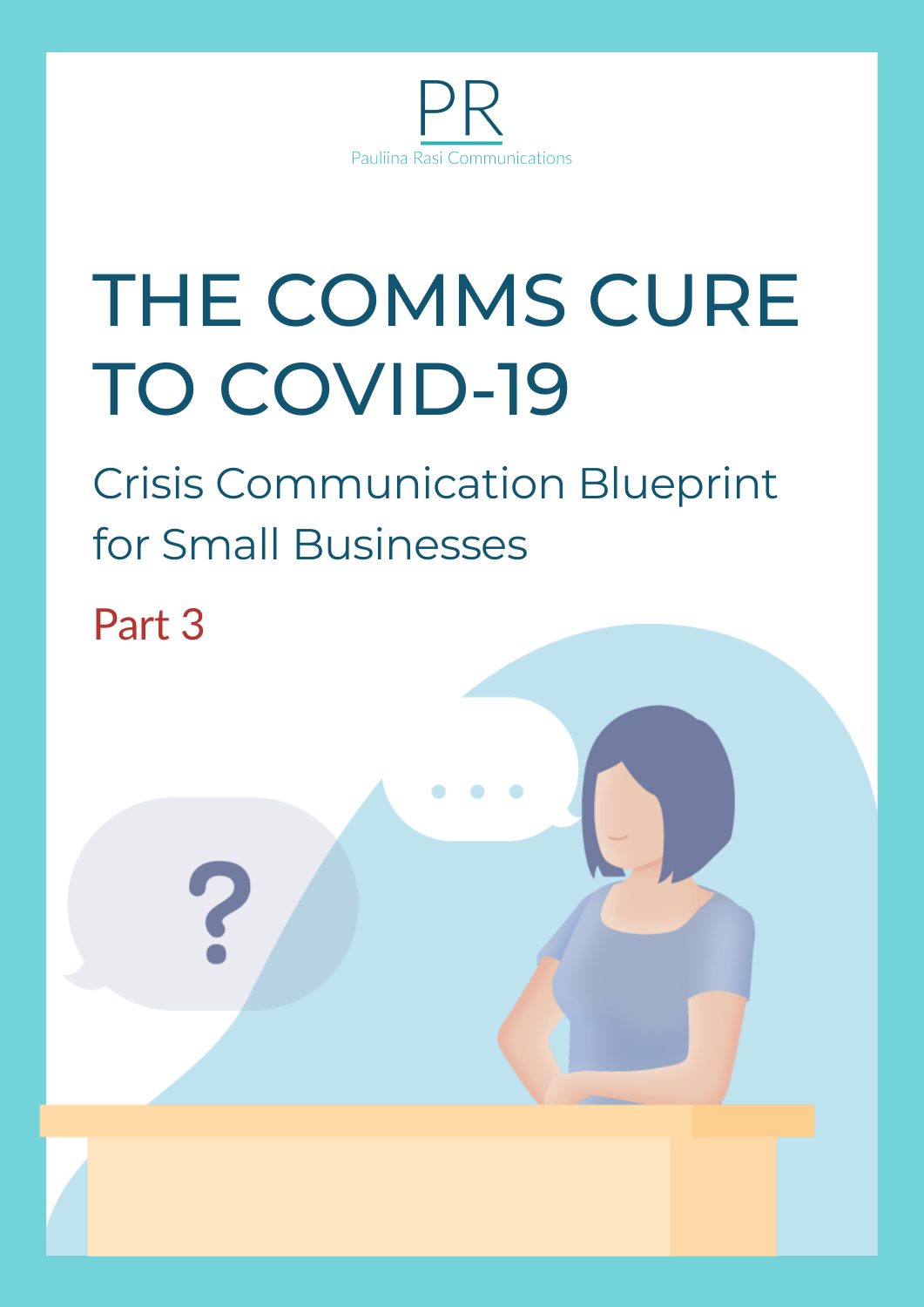

# THE COMMS CURE TO COVID-19

Crisis Communication Blueprint for Small Businesses

Part 3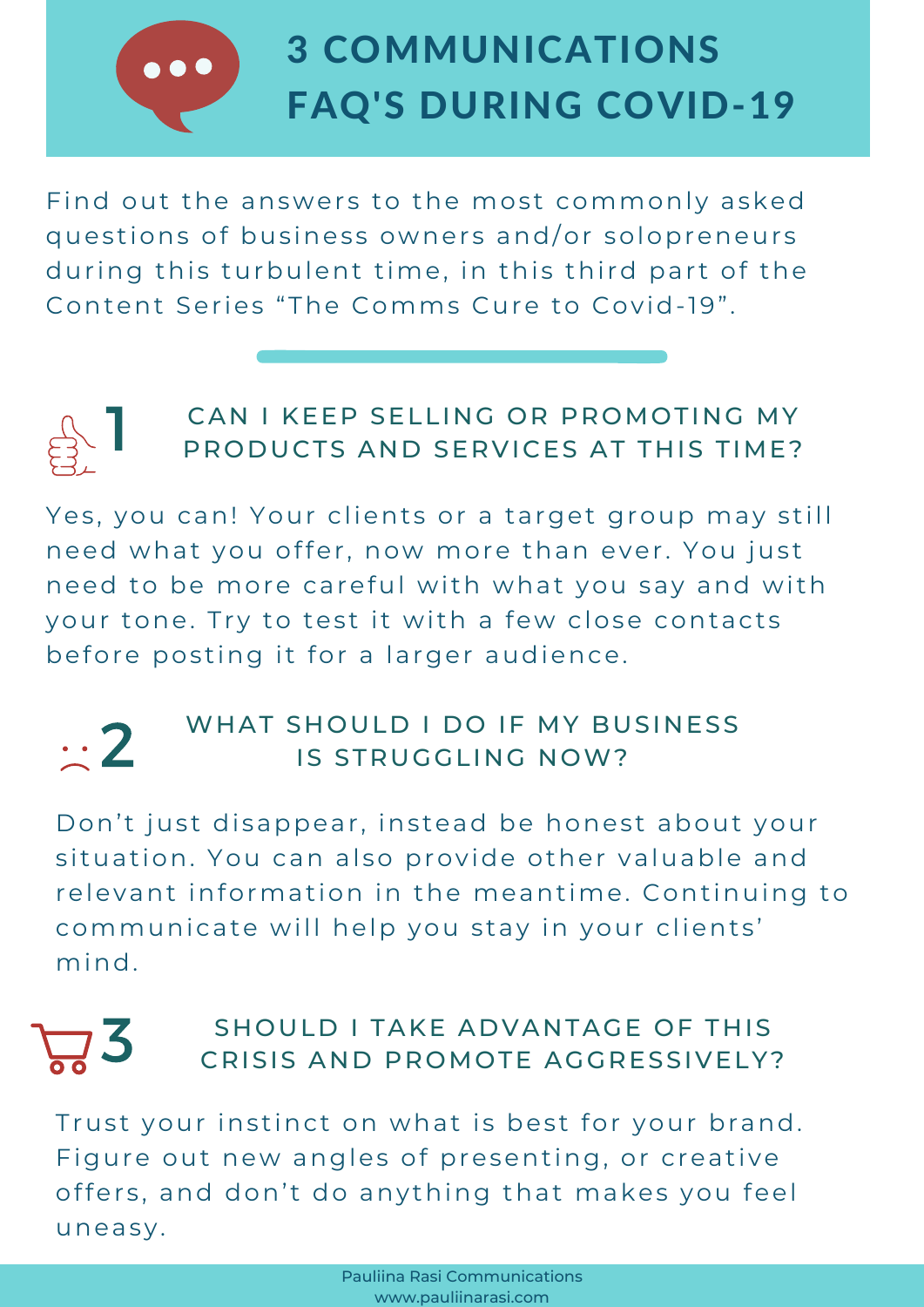# 3 COMMUNICATIONS FAQ'S DURING COVID-19

Find out the answers to the most commonly asked questions of business owners and/or solopreneurs during this turbulent time, in this third part of the Content Series "The Comms Cure to Covid-19".



### CAN I KEEP SELLING OR PROMOTING MY PRODUCTS AND SERVICES AT THIS TIME?  $\begin{bmatrix} 1 & 0 \\ 0 & 0 \end{bmatrix}$

Yes, you can! Your clients or a target group may still need what you offer, now more than ever. You just need to be more careful with what you say and with your tone. Try to test it with a few close contacts before posting it for a larger audience.

## **2** WHAT SHOULD I DO IF MY BUSINESS IS STRUGGLING NOW?

Don't just disappear, instead be honest about your situation. You can also provide other valuable and relevant information in the meantime. Continuing to communicate will help you stay in your clients' mind.



# **3** SHOULD I TAKE ADVANTAGE OF THIS CRISIS AND PROMOTE AGGRESSIVELY? SHOULD I TAKE ADVANTAGE OF THIS

Trust your instinct on what is best for your brand. Figure out new angles of presenting, or creative offers, and don't do anything that makes you feel uneasy.